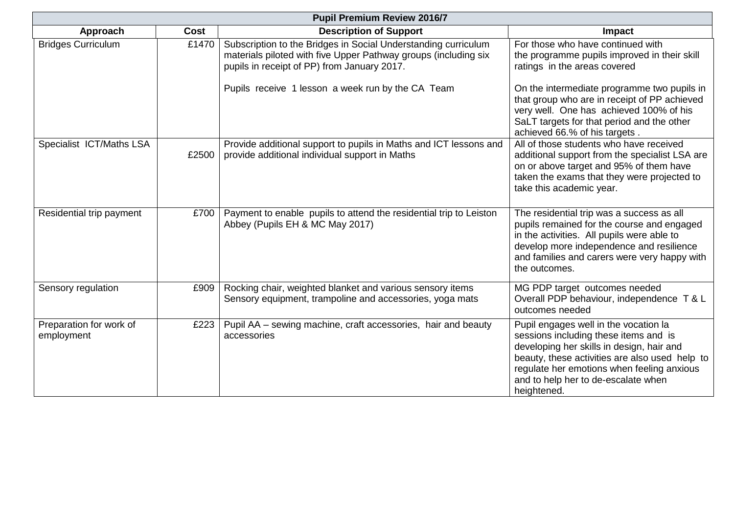| <b>Pupil Premium Review 2016/7</b>    |       |                                                                                                                                                                                  |                                                                                                                                                                                                                                                                                   |  |
|---------------------------------------|-------|----------------------------------------------------------------------------------------------------------------------------------------------------------------------------------|-----------------------------------------------------------------------------------------------------------------------------------------------------------------------------------------------------------------------------------------------------------------------------------|--|
| Approach                              | Cost  | <b>Description of Support</b>                                                                                                                                                    | <b>Impact</b>                                                                                                                                                                                                                                                                     |  |
| <b>Bridges Curriculum</b>             | £1470 | Subscription to the Bridges in Social Understanding curriculum<br>materials piloted with five Upper Pathway groups (including six<br>pupils in receipt of PP) from January 2017. | For those who have continued with<br>the programme pupils improved in their skill<br>ratings in the areas covered                                                                                                                                                                 |  |
|                                       |       | Pupils receive 1 lesson a week run by the CA Team                                                                                                                                | On the intermediate programme two pupils in<br>that group who are in receipt of PP achieved<br>very well. One has achieved 100% of his<br>SaLT targets for that period and the other<br>achieved 66.% of his targets.                                                             |  |
| Specialist ICT/Maths LSA              | £2500 | Provide additional support to pupils in Maths and ICT lessons and<br>provide additional individual support in Maths                                                              | All of those students who have received<br>additional support from the specialist LSA are<br>on or above target and 95% of them have<br>taken the exams that they were projected to<br>take this academic year.                                                                   |  |
| Residential trip payment              | £700  | Payment to enable pupils to attend the residential trip to Leiston<br>Abbey (Pupils EH & MC May 2017)                                                                            | The residential trip was a success as all<br>pupils remained for the course and engaged<br>in the activities. All pupils were able to<br>develop more independence and resilience<br>and families and carers were very happy with<br>the outcomes.                                |  |
| Sensory regulation                    | £909  | Rocking chair, weighted blanket and various sensory items<br>Sensory equipment, trampoline and accessories, yoga mats                                                            | MG PDP target outcomes needed<br>Overall PDP behaviour, independence T & L<br>outcomes needed                                                                                                                                                                                     |  |
| Preparation for work of<br>employment | £223  | Pupil AA – sewing machine, craft accessories, hair and beauty<br>accessories                                                                                                     | Pupil engages well in the vocation la<br>sessions including these items and is<br>developing her skills in design, hair and<br>beauty, these activities are also used help to<br>regulate her emotions when feeling anxious<br>and to help her to de-escalate when<br>heightened. |  |